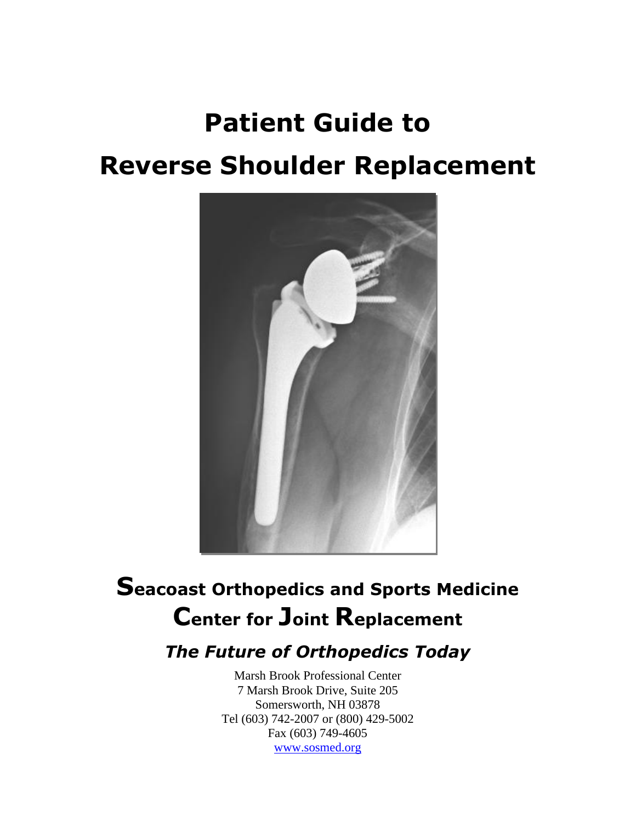# **Patient Guide to Reverse Shoulder Replacement**



## **Seacoast Orthopedics and Sports Medicine Center for Joint Replacement**

## *The Future of Orthopedics Today*

Marsh Brook Professional Center 7 Marsh Brook Drive, Suite 205 Somersworth, NH 03878 Tel (603) 742-2007 or (800) 429-5002 Fax (603) 749-4605 [www.sosmed.org](http://www.sosmed.org/)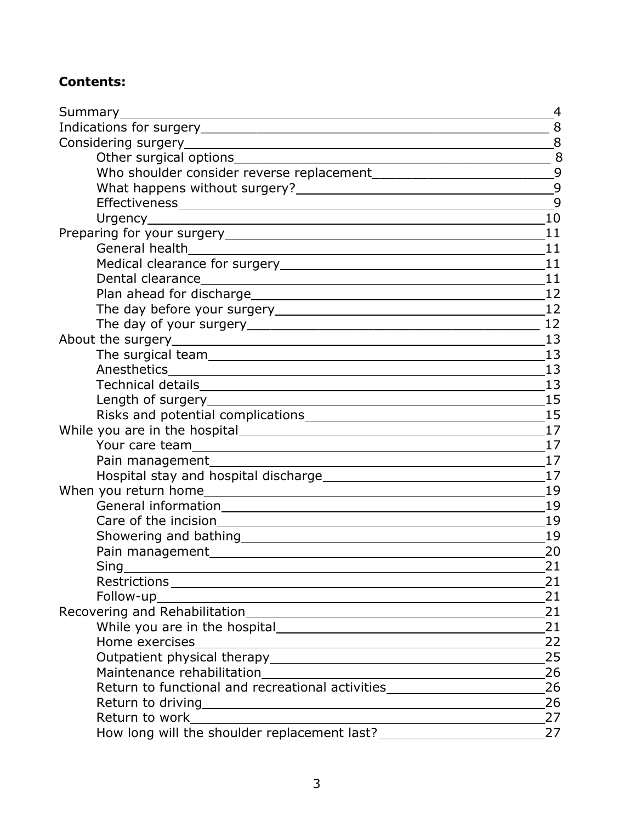## **Contents:**

| Summary_______                                                                                                                                                                                                                                                                                                                                                                                                                                                                                 | 4  |
|------------------------------------------------------------------------------------------------------------------------------------------------------------------------------------------------------------------------------------------------------------------------------------------------------------------------------------------------------------------------------------------------------------------------------------------------------------------------------------------------|----|
|                                                                                                                                                                                                                                                                                                                                                                                                                                                                                                |    |
|                                                                                                                                                                                                                                                                                                                                                                                                                                                                                                |    |
| $\begin{array}{c c c c c} \hline \multicolumn{3}{c }{\textbf{1}} & \multicolumn{3}{c }{\textbf{2}} \\ \multicolumn{3}{c }{\textbf{3}} & \multicolumn{3}{c }{\textbf{4}} \\ \multicolumn{3}{c }{\textbf{5}} & \multicolumn{3}{c }{\textbf{6}} \\ \multicolumn{3}{c }{\textbf{7}} & \multicolumn{3}{c }{\textbf{8}} \\ \multicolumn{3}{c }{\textbf{9}} & \multicolumn{3}{c }{\textbf{1}} \\ \multicolumn{3}{c }{\textbf{1}} & \multicolumn{3}{c }{\textbf{1$<br>Other surgical options__________ |    |
|                                                                                                                                                                                                                                                                                                                                                                                                                                                                                                |    |
|                                                                                                                                                                                                                                                                                                                                                                                                                                                                                                |    |
|                                                                                                                                                                                                                                                                                                                                                                                                                                                                                                | 9  |
|                                                                                                                                                                                                                                                                                                                                                                                                                                                                                                | 10 |
|                                                                                                                                                                                                                                                                                                                                                                                                                                                                                                | 11 |
|                                                                                                                                                                                                                                                                                                                                                                                                                                                                                                | 11 |
|                                                                                                                                                                                                                                                                                                                                                                                                                                                                                                | 11 |
|                                                                                                                                                                                                                                                                                                                                                                                                                                                                                                | 11 |
|                                                                                                                                                                                                                                                                                                                                                                                                                                                                                                | 12 |
|                                                                                                                                                                                                                                                                                                                                                                                                                                                                                                | 12 |
|                                                                                                                                                                                                                                                                                                                                                                                                                                                                                                |    |
|                                                                                                                                                                                                                                                                                                                                                                                                                                                                                                | 13 |
|                                                                                                                                                                                                                                                                                                                                                                                                                                                                                                | 13 |
|                                                                                                                                                                                                                                                                                                                                                                                                                                                                                                | 13 |
|                                                                                                                                                                                                                                                                                                                                                                                                                                                                                                | 13 |
|                                                                                                                                                                                                                                                                                                                                                                                                                                                                                                | 15 |
| Risks and potential complications<br><u>Example 2008</u>                                                                                                                                                                                                                                                                                                                                                                                                                                       | 15 |
|                                                                                                                                                                                                                                                                                                                                                                                                                                                                                                | 17 |
|                                                                                                                                                                                                                                                                                                                                                                                                                                                                                                | 17 |
|                                                                                                                                                                                                                                                                                                                                                                                                                                                                                                | 17 |
|                                                                                                                                                                                                                                                                                                                                                                                                                                                                                                | 17 |
|                                                                                                                                                                                                                                                                                                                                                                                                                                                                                                | 19 |
|                                                                                                                                                                                                                                                                                                                                                                                                                                                                                                | 19 |
|                                                                                                                                                                                                                                                                                                                                                                                                                                                                                                | 19 |
|                                                                                                                                                                                                                                                                                                                                                                                                                                                                                                | 19 |
|                                                                                                                                                                                                                                                                                                                                                                                                                                                                                                | 20 |
| Sing                                                                                                                                                                                                                                                                                                                                                                                                                                                                                           | 21 |
|                                                                                                                                                                                                                                                                                                                                                                                                                                                                                                | 21 |
| Follow-up<br><u> 1989 - Johann Stoff, deutscher Stoffen und der Stoffen und der Stoffen und der Stoffen und der Stoffen und der</u>                                                                                                                                                                                                                                                                                                                                                            | 21 |
|                                                                                                                                                                                                                                                                                                                                                                                                                                                                                                | 21 |
|                                                                                                                                                                                                                                                                                                                                                                                                                                                                                                | 21 |
| Home exercises                                                                                                                                                                                                                                                                                                                                                                                                                                                                                 | 22 |
|                                                                                                                                                                                                                                                                                                                                                                                                                                                                                                | 25 |
|                                                                                                                                                                                                                                                                                                                                                                                                                                                                                                | 26 |
| Return to functional and recreational activities________________________________                                                                                                                                                                                                                                                                                                                                                                                                               | 26 |
|                                                                                                                                                                                                                                                                                                                                                                                                                                                                                                | 26 |
|                                                                                                                                                                                                                                                                                                                                                                                                                                                                                                | 27 |
|                                                                                                                                                                                                                                                                                                                                                                                                                                                                                                | 27 |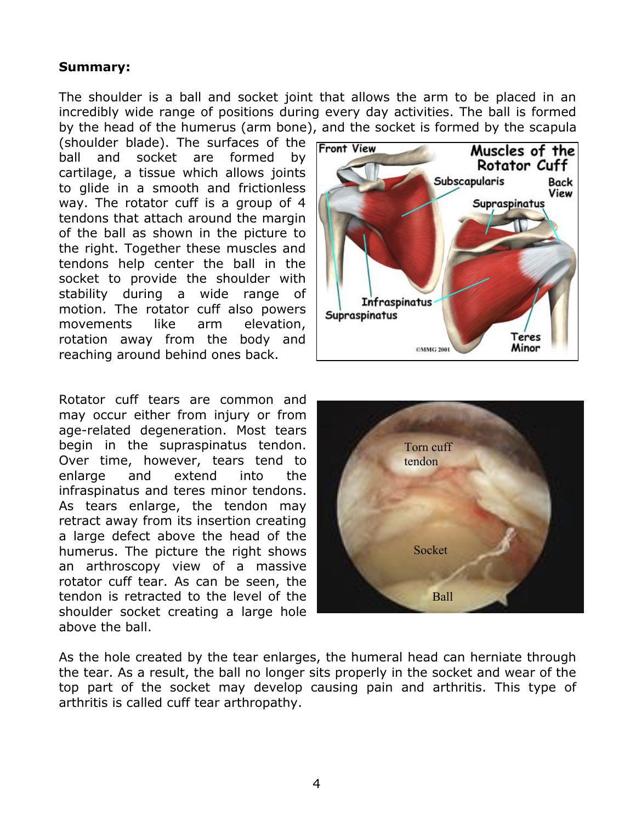## **Summary:**

The shoulder is a ball and socket joint that allows the arm to be placed in an incredibly wide range of positions during every day activities. The ball is formed by the head of the humerus (arm bone), and the socket is formed by the scapula

(shoulder blade). The surfaces of the ball and socket are formed by cartilage, a tissue which allows joints to glide in a smooth and frictionless way. The rotator cuff is a group of 4 tendons that attach around the margin of the ball as shown in the picture to the right. Together these muscles and tendons help center the ball in the socket to provide the shoulder with stability during a wide range of motion. The rotator cuff also powers movements like arm elevation, rotation away from the body and reaching around behind ones back.

Rotator cuff tears are common and may occur either from injury or from age-related degeneration. Most tears begin in the supraspinatus tendon. Over time, however, tears tend to enlarge and extend into the infraspinatus and teres minor tendons. As tears enlarge, the tendon may retract away from its insertion creating a large defect above the head of the humerus. The picture the right shows an arthroscopy view of a massive rotator cuff tear. As can be seen, the tendon is retracted to the level of the shoulder socket creating a large hole above the ball.





As the hole created by the tear enlarges, the humeral head can herniate through the tear. As a result, the ball no longer sits properly in the socket and wear of the top part of the socket may develop causing pain and arthritis. This type of arthritis is called cuff tear arthropathy.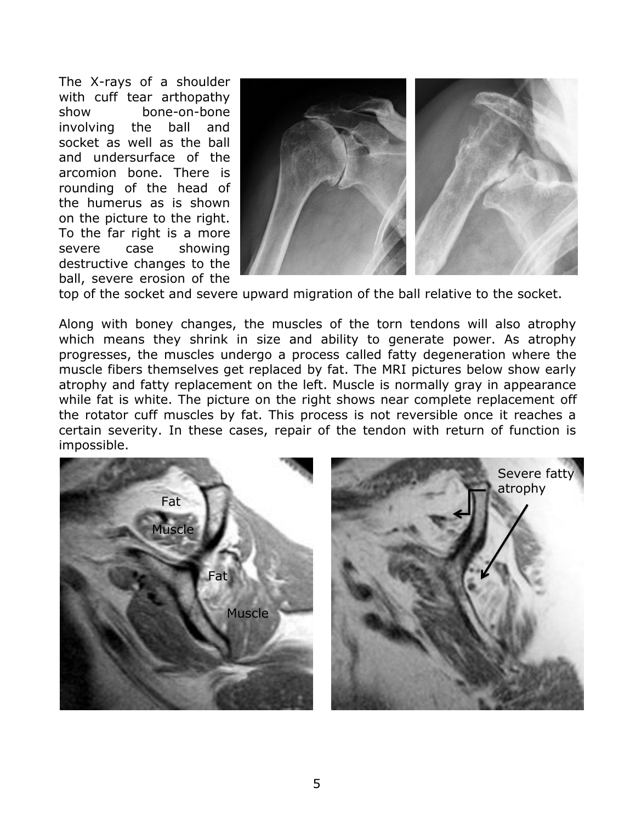The X-rays of a shoulder with cuff tear arthopathy show bone-on-bone involving the ball and socket as well as the ball and undersurface of the arcomion bone. There is rounding of the head of the humerus as is shown on the picture to the right. To the far right is a more severe case showing destructive changes to the ball, severe erosion of the



top of the socket and severe upward migration of the ball relative to the socket.

Along with boney changes, the muscles of the torn tendons will also atrophy which means they shrink in size and ability to generate power. As atrophy progresses, the muscles undergo a process called fatty degeneration where the muscle fibers themselves get replaced by fat. The MRI pictures below show early atrophy and fatty replacement on the left. Muscle is normally gray in appearance while fat is white. The picture on the right shows near complete replacement off the rotator cuff muscles by fat. This process is not reversible once it reaches a certain severity. In these cases, repair of the tendon with return of function is impossible.

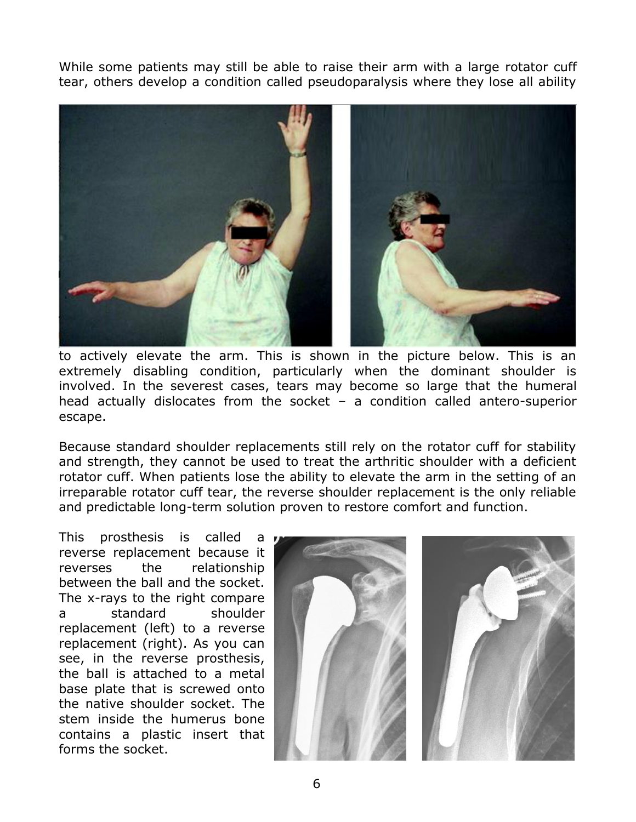While some patients may still be able to raise their arm with a large rotator cuff tear, others develop a condition called pseudoparalysis where they lose all ability



to actively elevate the arm. This is shown in the picture below. This is an extremely disabling condition, particularly when the dominant shoulder is involved. In the severest cases, tears may become so large that the humeral head actually dislocates from the socket – a condition called antero-superior escape.

Because standard shoulder replacements still rely on the rotator cuff for stability and strength, they cannot be used to treat the arthritic shoulder with a deficient rotator cuff. When patients lose the ability to elevate the arm in the setting of an irreparable rotator cuff tear, the reverse shoulder replacement is the only reliable and predictable long-term solution proven to restore comfort and function.

This prosthesis is called a reverse replacement because it reverses the relationship between the ball and the socket. The x-rays to the right compare a standard shoulder replacement (left) to a reverse replacement (right). As you can see, in the reverse prosthesis, the ball is attached to a metal base plate that is screwed onto the native shoulder socket. The stem inside the humerus bone contains a plastic insert that forms the socket.



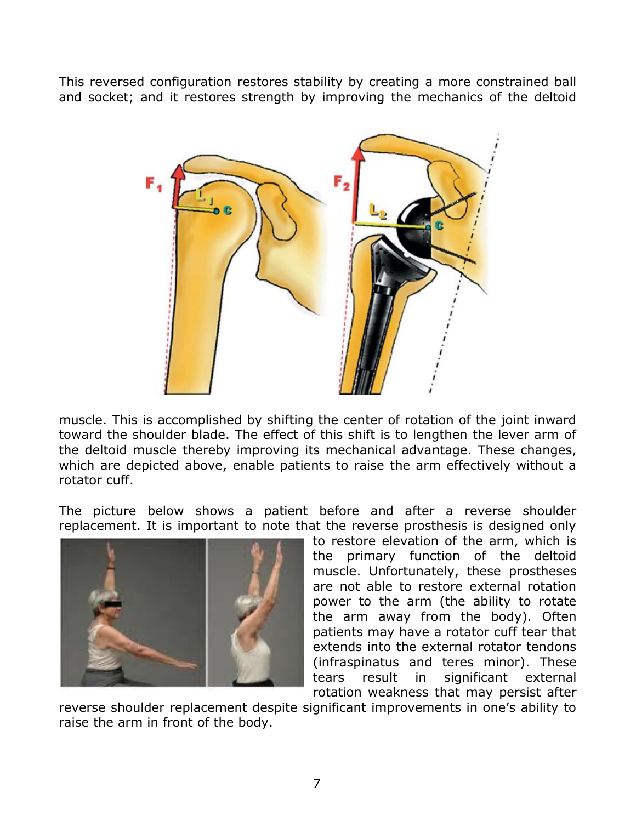This reversed configuration restores stability by creating a more constrained ball and socket; and it restores strength by improving the mechanics of the deltoid



muscle. This is accomplished by shifting the center of rotation of the joint inward toward the shoulder blade. The effect of this shift is to lengthen the lever arm of the deltoid muscle thereby improving its mechanical advantage. These changes, which are depicted above, enable patients to raise the arm effectively without a rotator cuff.

The picture below shows a patient before and after a reverse shoulder replacement. It is important to note that the reverse prosthesis is designed only



to restore elevation of the arm, which is the primary function of the deltoid muscle. Unfortunately, these prostheses are not able to restore external rotation power to the arm (the ability to rotate the arm away from the body). Often patients may have a rotator cuff tear that extends into the external rotator tendons (infraspinatus and teres minor). These tears result in significant external rotation weakness that may persist after

reverse shoulder replacement despite significant improvements in one's ability to raise the arm in front of the body.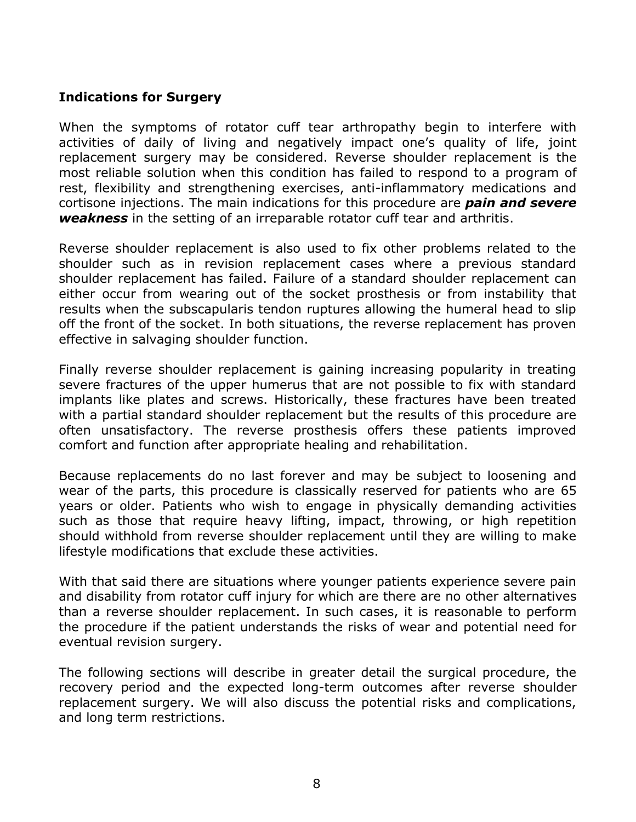## **Indications for Surgery**

When the symptoms of rotator cuff tear arthropathy begin to interfere with activities of daily of living and negatively impact one's quality of life, joint replacement surgery may be considered. Reverse shoulder replacement is the most reliable solution when this condition has failed to respond to a program of rest, flexibility and strengthening exercises, anti-inflammatory medications and cortisone injections. The main indications for this procedure are *pain and severe weakness* in the setting of an irreparable rotator cuff tear and arthritis.

Reverse shoulder replacement is also used to fix other problems related to the shoulder such as in revision replacement cases where a previous standard shoulder replacement has failed. Failure of a standard shoulder replacement can either occur from wearing out of the socket prosthesis or from instability that results when the subscapularis tendon ruptures allowing the humeral head to slip off the front of the socket. In both situations, the reverse replacement has proven effective in salvaging shoulder function.

Finally reverse shoulder replacement is gaining increasing popularity in treating severe fractures of the upper humerus that are not possible to fix with standard implants like plates and screws. Historically, these fractures have been treated with a partial standard shoulder replacement but the results of this procedure are often unsatisfactory. The reverse prosthesis offers these patients improved comfort and function after appropriate healing and rehabilitation.

Because replacements do no last forever and may be subject to loosening and wear of the parts, this procedure is classically reserved for patients who are 65 years or older. Patients who wish to engage in physically demanding activities such as those that require heavy lifting, impact, throwing, or high repetition should withhold from reverse shoulder replacement until they are willing to make lifestyle modifications that exclude these activities.

With that said there are situations where younger patients experience severe pain and disability from rotator cuff injury for which are there are no other alternatives than a reverse shoulder replacement. In such cases, it is reasonable to perform the procedure if the patient understands the risks of wear and potential need for eventual revision surgery.

The following sections will describe in greater detail the surgical procedure, the recovery period and the expected long-term outcomes after reverse shoulder replacement surgery. We will also discuss the potential risks and complications, and long term restrictions.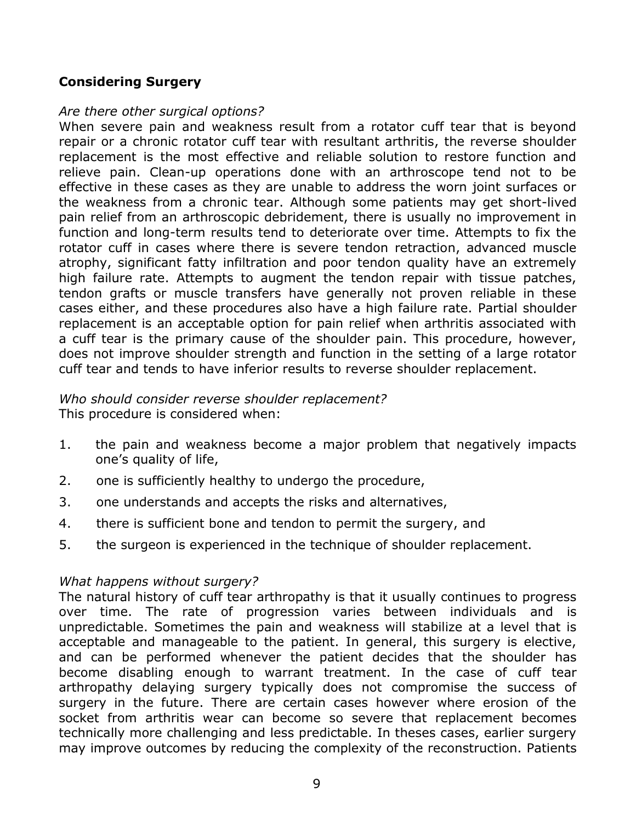## **Considering Surgery**

#### *Are there other surgical options?*

When severe pain and weakness result from a rotator cuff tear that is beyond repair or a chronic rotator cuff tear with resultant arthritis, the reverse shoulder replacement is the most effective and reliable solution to restore function and relieve pain. Clean-up operations done with an arthroscope tend not to be effective in these cases as they are unable to address the worn joint surfaces or the weakness from a chronic tear. Although some patients may get short-lived pain relief from an arthroscopic debridement, there is usually no improvement in function and long-term results tend to deteriorate over time. Attempts to fix the rotator cuff in cases where there is severe tendon retraction, advanced muscle atrophy, significant fatty infiltration and poor tendon quality have an extremely high failure rate. Attempts to augment the tendon repair with tissue patches, tendon grafts or muscle transfers have generally not proven reliable in these cases either, and these procedures also have a high failure rate. Partial shoulder replacement is an acceptable option for pain relief when arthritis associated with a cuff tear is the primary cause of the shoulder pain. This procedure, however, does not improve shoulder strength and function in the setting of a large rotator cuff tear and tends to have inferior results to reverse shoulder replacement.

#### *Who should consider reverse shoulder replacement?* This procedure is considered when:

- 1. the pain and weakness become a major problem that negatively impacts one's quality of life,
- 2. one is sufficiently healthy to undergo the procedure,
- 3. one understands and accepts the risks and alternatives,
- 4. there is sufficient bone and tendon to permit the surgery, and
- 5. the surgeon is experienced in the technique of shoulder replacement.

## *What happens without surgery?*

The natural history of cuff tear arthropathy is that it usually continues to progress over time. The rate of progression varies between individuals and is unpredictable. Sometimes the pain and weakness will stabilize at a level that is acceptable and manageable to the patient. In general, this surgery is elective, and can be performed whenever the patient decides that the shoulder has become disabling enough to warrant treatment. In the case of cuff tear arthropathy delaying surgery typically does not compromise the success of surgery in the future. There are certain cases however where erosion of the socket from arthritis wear can become so severe that replacement becomes technically more challenging and less predictable. In theses cases, earlier surgery may improve outcomes by reducing the complexity of the reconstruction. Patients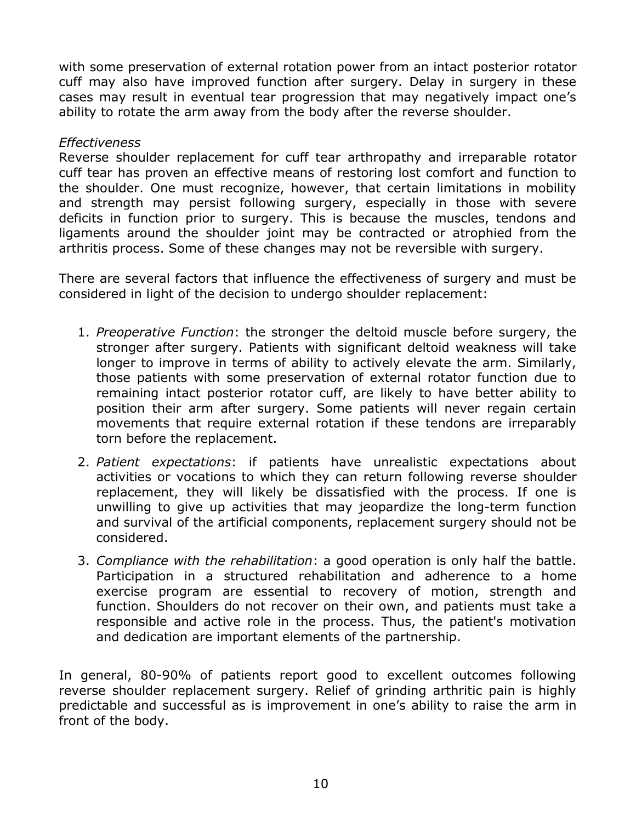with some preservation of external rotation power from an intact posterior rotator cuff may also have improved function after surgery. Delay in surgery in these cases may result in eventual tear progression that may negatively impact one's ability to rotate the arm away from the body after the reverse shoulder.

#### *Effectiveness*

Reverse shoulder replacement for cuff tear arthropathy and irreparable rotator cuff tear has proven an effective means of restoring lost comfort and function to the shoulder. One must recognize, however, that certain limitations in mobility and strength may persist following surgery, especially in those with severe deficits in function prior to surgery. This is because the muscles, tendons and ligaments around the shoulder joint may be contracted or atrophied from the arthritis process. Some of these changes may not be reversible with surgery.

There are several factors that influence the effectiveness of surgery and must be considered in light of the decision to undergo shoulder replacement:

- 1. *Preoperative Function*: the stronger the deltoid muscle before surgery, the stronger after surgery. Patients with significant deltoid weakness will take longer to improve in terms of ability to actively elevate the arm. Similarly, those patients with some preservation of external rotator function due to remaining intact posterior rotator cuff, are likely to have better ability to position their arm after surgery. Some patients will never regain certain movements that require external rotation if these tendons are irreparably torn before the replacement.
- 2. *Patient expectations*: if patients have unrealistic expectations about activities or vocations to which they can return following reverse shoulder replacement, they will likely be dissatisfied with the process. If one is unwilling to give up activities that may jeopardize the long-term function and survival of the artificial components, replacement surgery should not be considered.
- 3. *Compliance with the rehabilitation*: a good operation is only half the battle. Participation in a structured rehabilitation and adherence to a home exercise program are essential to recovery of motion, strength and function. Shoulders do not recover on their own, and patients must take a responsible and active role in the process. Thus, the patient's motivation and dedication are important elements of the partnership.

In general, 80-90% of patients report good to excellent outcomes following reverse shoulder replacement surgery. Relief of grinding arthritic pain is highly predictable and successful as is improvement in one's ability to raise the arm in front of the body.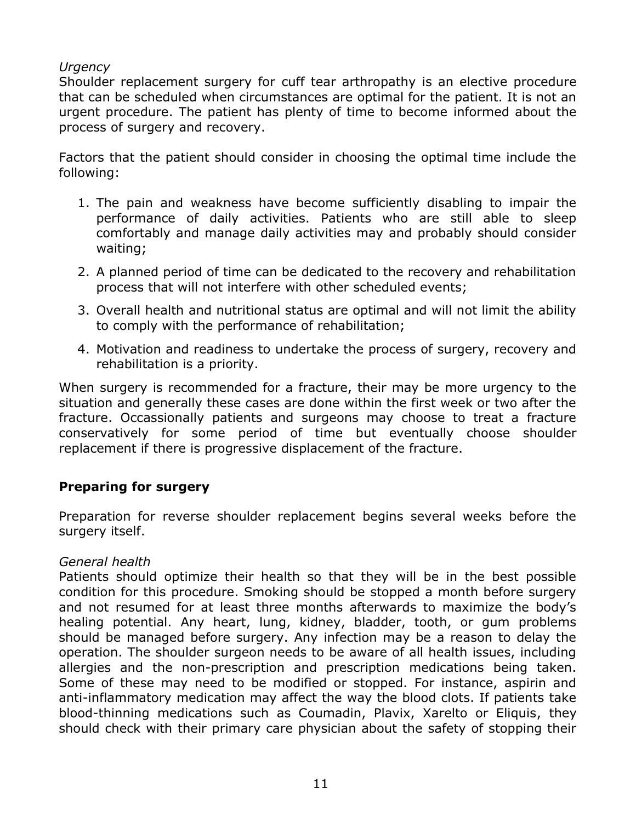## *Urgency*

Shoulder replacement surgery for cuff tear arthropathy is an elective procedure that can be scheduled when circumstances are optimal for the patient. It is not an urgent procedure. The patient has plenty of time to become informed about the process of surgery and recovery.

Factors that the patient should consider in choosing the optimal time include the following:

- 1. The pain and weakness have become sufficiently disabling to impair the performance of daily activities. Patients who are still able to sleep comfortably and manage daily activities may and probably should consider waiting;
- 2. A planned period of time can be dedicated to the recovery and rehabilitation process that will not interfere with other scheduled events;
- 3. Overall health and nutritional status are optimal and will not limit the ability to comply with the performance of rehabilitation;
- 4. Motivation and readiness to undertake the process of surgery, recovery and rehabilitation is a priority.

When surgery is recommended for a fracture, their may be more urgency to the situation and generally these cases are done within the first week or two after the fracture. Occassionally patients and surgeons may choose to treat a fracture conservatively for some period of time but eventually choose shoulder replacement if there is progressive displacement of the fracture.

## **Preparing for surgery**

Preparation for reverse shoulder replacement begins several weeks before the surgery itself.

## *General health*

Patients should optimize their health so that they will be in the best possible condition for this procedure. Smoking should be stopped a month before surgery and not resumed for at least three months afterwards to maximize the body's healing potential. Any heart, lung, kidney, bladder, tooth, or gum problems should be managed before surgery. Any infection may be a reason to delay the operation. The shoulder surgeon needs to be aware of all health issues, including allergies and the non-prescription and prescription medications being taken. Some of these may need to be modified or stopped. For instance, aspirin and anti-inflammatory medication may affect the way the blood clots. If patients take blood-thinning medications such as Coumadin, Plavix, Xarelto or Eliquis, they should check with their primary care physician about the safety of stopping their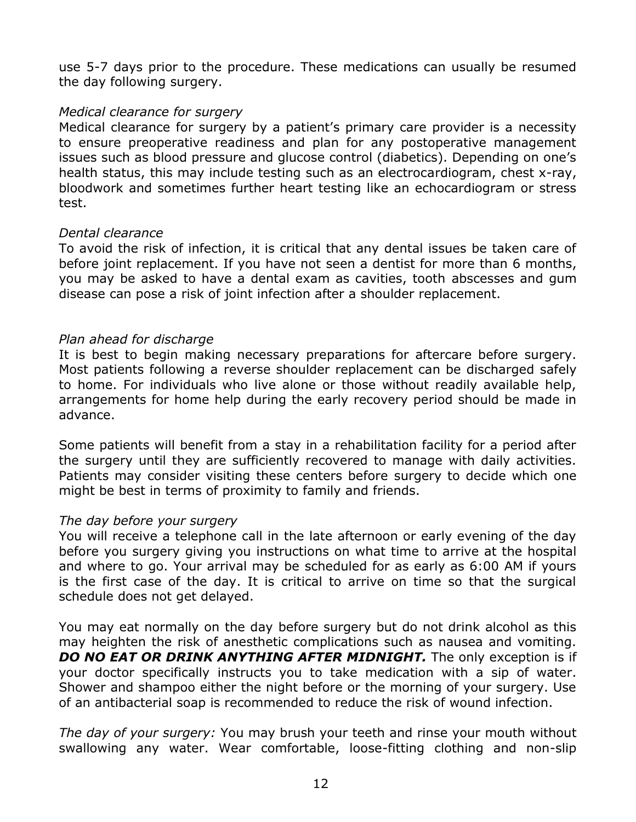use 5-7 days prior to the procedure. These medications can usually be resumed the day following surgery.

#### *Medical clearance for surgery*

Medical clearance for surgery by a patient's primary care provider is a necessity to ensure preoperative readiness and plan for any postoperative management issues such as blood pressure and glucose control (diabetics). Depending on one's health status, this may include testing such as an electrocardiogram, chest x-ray, bloodwork and sometimes further heart testing like an echocardiogram or stress test.

#### *Dental clearance*

To avoid the risk of infection, it is critical that any dental issues be taken care of before joint replacement. If you have not seen a dentist for more than 6 months, you may be asked to have a dental exam as cavities, tooth abscesses and gum disease can pose a risk of joint infection after a shoulder replacement.

#### *Plan ahead for discharge*

It is best to begin making necessary preparations for aftercare before surgery. Most patients following a reverse shoulder replacement can be discharged safely to home. For individuals who live alone or those without readily available help, arrangements for home help during the early recovery period should be made in advance.

Some patients will benefit from a stay in a rehabilitation facility for a period after the surgery until they are sufficiently recovered to manage with daily activities. Patients may consider visiting these centers before surgery to decide which one might be best in terms of proximity to family and friends.

#### *The day before your surgery*

You will receive a telephone call in the late afternoon or early evening of the day before you surgery giving you instructions on what time to arrive at the hospital and where to go. Your arrival may be scheduled for as early as 6:00 AM if yours is the first case of the day. It is critical to arrive on time so that the surgical schedule does not get delayed.

You may eat normally on the day before surgery but do not drink alcohol as this may heighten the risk of anesthetic complications such as nausea and vomiting. *DO NO EAT OR DRINK ANYTHING AFTER MIDNIGHT.* The only exception is if your doctor specifically instructs you to take medication with a sip of water. Shower and shampoo either the night before or the morning of your surgery. Use of an antibacterial soap is recommended to reduce the risk of wound infection.

*The day of your surgery:* You may brush your teeth and rinse your mouth without swallowing any water. Wear comfortable, loose-fitting clothing and non-slip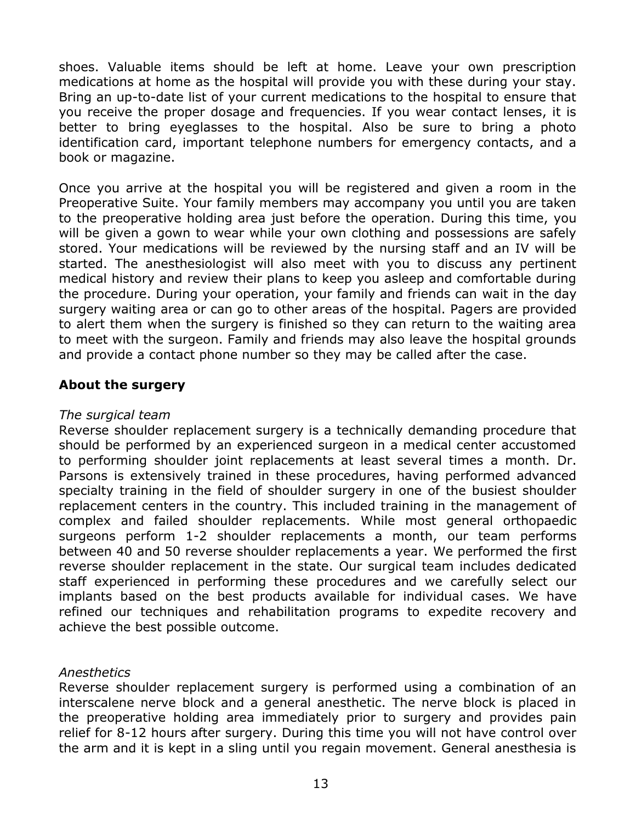shoes. Valuable items should be left at home. Leave your own prescription medications at home as the hospital will provide you with these during your stay. Bring an up-to-date list of your current medications to the hospital to ensure that you receive the proper dosage and frequencies. If you wear contact lenses, it is better to bring eyeglasses to the hospital. Also be sure to bring a photo identification card, important telephone numbers for emergency contacts, and a book or magazine.

Once you arrive at the hospital you will be registered and given a room in the Preoperative Suite. Your family members may accompany you until you are taken to the preoperative holding area just before the operation. During this time, you will be given a gown to wear while your own clothing and possessions are safely stored. Your medications will be reviewed by the nursing staff and an IV will be started. The anesthesiologist will also meet with you to discuss any pertinent medical history and review their plans to keep you asleep and comfortable during the procedure. During your operation, your family and friends can wait in the day surgery waiting area or can go to other areas of the hospital. Pagers are provided to alert them when the surgery is finished so they can return to the waiting area to meet with the surgeon. Family and friends may also leave the hospital grounds and provide a contact phone number so they may be called after the case.

## **About the surgery**

#### *The surgical team*

Reverse shoulder replacement surgery is a technically demanding procedure that should be performed by an experienced surgeon in a medical center accustomed to performing shoulder joint replacements at least several times a month. Dr. Parsons is extensively trained in these procedures, having performed advanced specialty training in the field of shoulder surgery in one of the busiest shoulder replacement centers in the country. This included training in the management of complex and failed shoulder replacements. While most general orthopaedic surgeons perform 1-2 shoulder replacements a month, our team performs between 40 and 50 reverse shoulder replacements a year. We performed the first reverse shoulder replacement in the state. Our surgical team includes dedicated staff experienced in performing these procedures and we carefully select our implants based on the best products available for individual cases. We have refined our techniques and rehabilitation programs to expedite recovery and achieve the best possible outcome.

## *Anesthetics*

Reverse shoulder replacement surgery is performed using a combination of an interscalene nerve block and a general anesthetic. The nerve block is placed in the preoperative holding area immediately prior to surgery and provides pain relief for 8-12 hours after surgery. During this time you will not have control over the arm and it is kept in a sling until you regain movement. General anesthesia is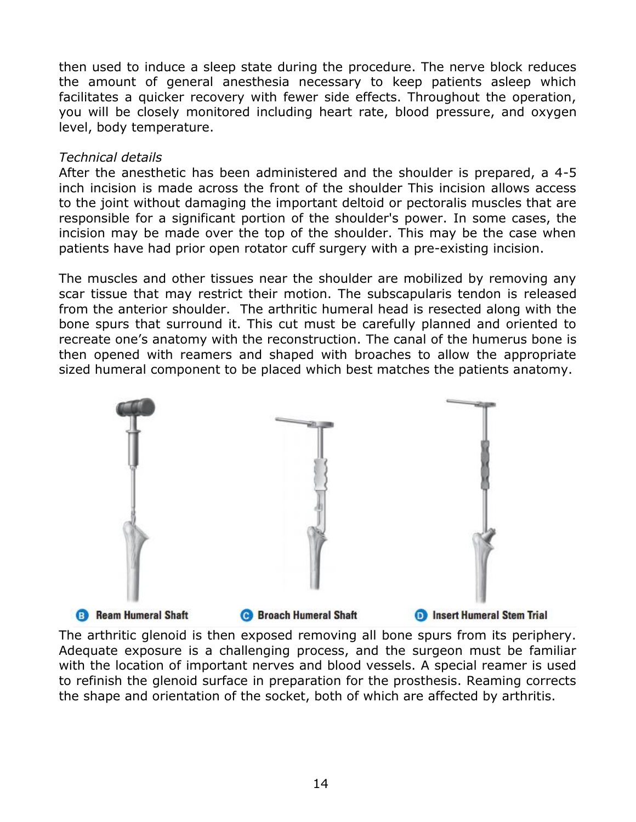then used to induce a sleep state during the procedure. The nerve block reduces the amount of general anesthesia necessary to keep patients asleep which facilitates a quicker recovery with fewer side effects. Throughout the operation, you will be closely monitored including heart rate, blood pressure, and oxygen level, body temperature.

#### *Technical details*

After the anesthetic has been administered and the shoulder is prepared, a 4-5 inch incision is made across the front of the shoulder This incision allows access to the joint without damaging the important deltoid or pectoralis muscles that are responsible for a significant portion of the shoulder's power. In some cases, the incision may be made over the top of the shoulder. This may be the case when patients have had prior open rotator cuff surgery with a pre-existing incision.

The muscles and other tissues near the shoulder are mobilized by removing any scar tissue that may restrict their motion. The subscapularis tendon is released from the anterior shoulder. The arthritic humeral head is resected along with the bone spurs that surround it. This cut must be carefully planned and oriented to recreate one's anatomy with the reconstruction. The canal of the humerus bone is then opened with reamers and shaped with broaches to allow the appropriate sized humeral component to be placed which best matches the patients anatomy.



The arthritic glenoid is then exposed removing all bone spurs from its periphery. Adequate exposure is a challenging process, and the surgeon must be familiar with the location of important nerves and blood vessels. A special reamer is used to refinish the glenoid surface in preparation for the prosthesis. Reaming corrects the shape and orientation of the socket, both of which are affected by arthritis.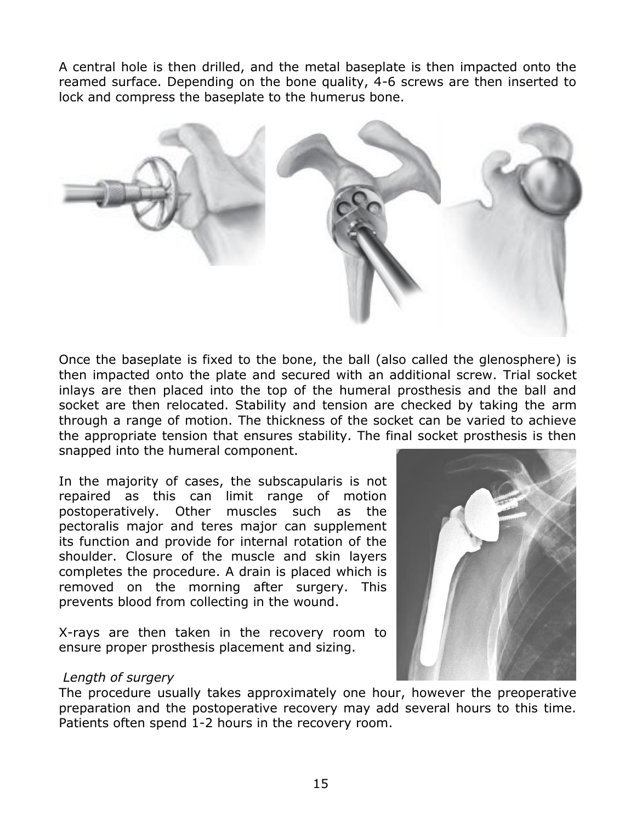A central hole is then drilled, and the metal baseplate is then impacted onto the reamed surface. Depending on the bone quality, 4-6 screws are then inserted to lock and compress the baseplate to the humerus bone.



Once the baseplate is fixed to the bone, the ball (also called the glenosphere) is then impacted onto the plate and secured with an additional screw. Trial socket inlays are then placed into the top of the humeral prosthesis and the ball and socket are then relocated. Stability and tension are checked by taking the arm through a range of motion. The thickness of the socket can be varied to achieve the appropriate tension that ensures stability. The final socket prosthesis is then snapped into the humeral component.

In the majority of cases, the subscapularis is not repaired as this can limit range of motion postoperatively. Other muscles such as the pectoralis major and teres major can supplement its function and provide for internal rotation of the shoulder. Closure of the muscle and skin layers completes the procedure. A drain is placed which is removed on the morning after surgery. This prevents blood from collecting in the wound.

X-rays are then taken in the recovery room to ensure proper prosthesis placement and sizing.

#### *Length of surgery*

The procedure usually takes approximately one hour, however the preoperative preparation and the postoperative recovery may add several hours to this time. Patients often spend 1-2 hours in the recovery room.

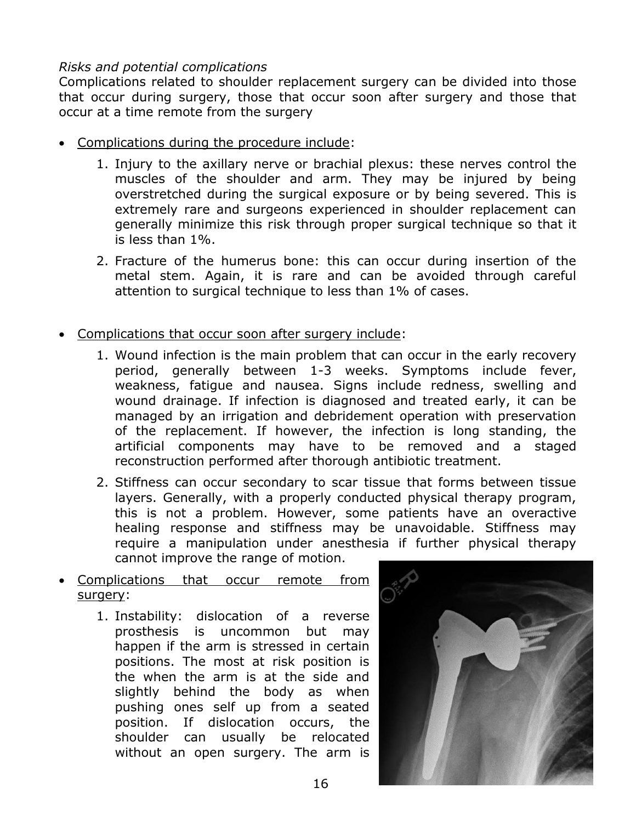## *Risks and potential complications*

Complications related to shoulder replacement surgery can be divided into those that occur during surgery, those that occur soon after surgery and those that occur at a time remote from the surgery

- Complications during the procedure include:
	- 1. Injury to the axillary nerve or brachial plexus: these nerves control the muscles of the shoulder and arm. They may be injured by being overstretched during the surgical exposure or by being severed. This is extremely rare and surgeons experienced in shoulder replacement can generally minimize this risk through proper surgical technique so that it is less than 1%.
	- 2. Fracture of the humerus bone: this can occur during insertion of the metal stem. Again, it is rare and can be avoided through careful attention to surgical technique to less than 1% of cases.
- Complications that occur soon after surgery include:
	- 1. Wound infection is the main problem that can occur in the early recovery period, generally between 1-3 weeks. Symptoms include fever, weakness, fatigue and nausea. Signs include redness, swelling and wound drainage. If infection is diagnosed and treated early, it can be managed by an irrigation and debridement operation with preservation of the replacement. If however, the infection is long standing, the artificial components may have to be removed and a staged reconstruction performed after thorough antibiotic treatment.
	- 2. Stiffness can occur secondary to scar tissue that forms between tissue layers. Generally, with a properly conducted physical therapy program, this is not a problem. However, some patients have an overactive healing response and stiffness may be unavoidable. Stiffness may require a manipulation under anesthesia if further physical therapy cannot improve the range of motion.
- Complications that occur remote from surgery:
	- 1. Instability: dislocation of a reverse prosthesis is uncommon but may happen if the arm is stressed in certain positions. The most at risk position is the when the arm is at the side and slightly behind the body as when pushing ones self up from a seated position. If dislocation occurs, the shoulder can usually be relocated without an open surgery. The arm is

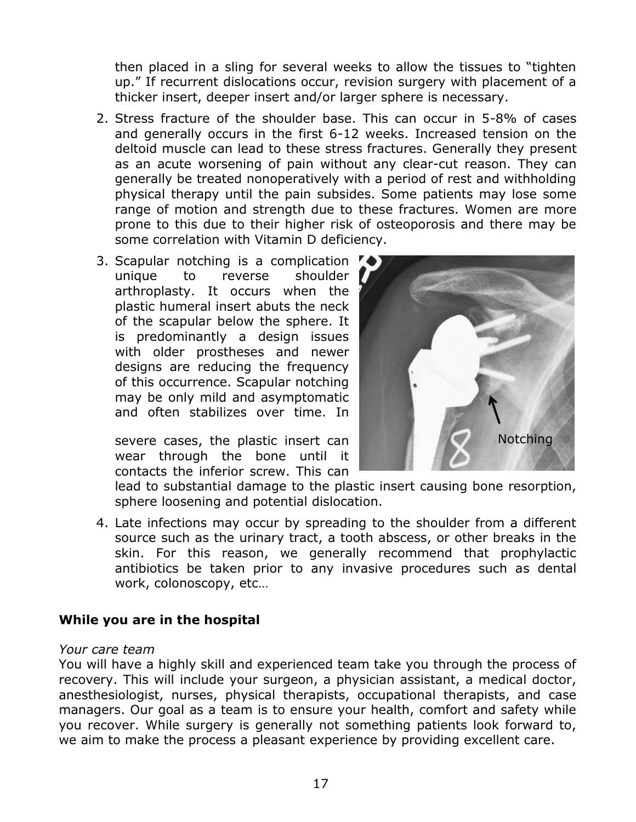then placed in a sling for several weeks to allow the tissues to "tighten up." If recurrent dislocations occur, revision surgery with placement of a thicker insert, deeper insert and/or larger sphere is necessary.

- 2. Stress fracture of the shoulder base. This can occur in 5-8% of cases and generally occurs in the first 6-12 weeks. Increased tension on the deltoid muscle can lead to these stress fractures. Generally they present as an acute worsening of pain without any clear-cut reason. They can generally be treated nonoperatively with a period of rest and withholding physical therapy until the pain subsides. Some patients may lose some range of motion and strength due to these fractures. Women are more prone to this due to their higher risk of osteoporosis and there may be some correlation with Vitamin D deficiency.
- 3. Scapular notching is a complication  $\bullet$ unique to reverse shoulder arthroplasty. It occurs when the plastic humeral insert abuts the neck of the scapular below the sphere. It is predominantly a design issues with older prostheses and newer designs are reducing the frequency of this occurrence. Scapular notching may be only mild and asymptomatic and often stabilizes over time. In

severe cases, the plastic insert can wear through the bone until it contacts the inferior screw. This can



lead to substantial damage to the plastic insert causing bone resorption, sphere loosening and potential dislocation.

4. Late infections may occur by spreading to the shoulder from a different source such as the urinary tract, a tooth abscess, or other breaks in the skin. For this reason, we generally recommend that prophylactic antibiotics be taken prior to any invasive procedures such as dental work, colonoscopy, etc…

## **While you are in the hospital**

#### *Your care team*

You will have a highly skill and experienced team take you through the process of recovery. This will include your surgeon, a physician assistant, a medical doctor, anesthesiologist, nurses, physical therapists, occupational therapists, and case managers. Our goal as a team is to ensure your health, comfort and safety while you recover. While surgery is generally not something patients look forward to, we aim to make the process a pleasant experience by providing excellent care.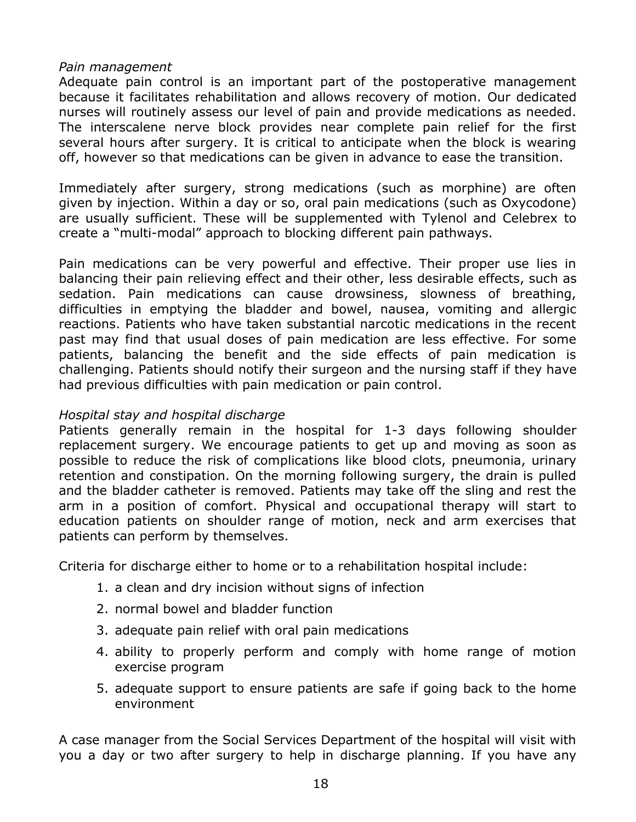#### *Pain management*

Adequate pain control is an important part of the postoperative management because it facilitates rehabilitation and allows recovery of motion. Our dedicated nurses will routinely assess our level of pain and provide medications as needed. The interscalene nerve block provides near complete pain relief for the first several hours after surgery. It is critical to anticipate when the block is wearing off, however so that medications can be given in advance to ease the transition.

Immediately after surgery, strong medications (such as morphine) are often given by injection. Within a day or so, oral pain medications (such as Oxycodone) are usually sufficient. These will be supplemented with Tylenol and Celebrex to create a "multi-modal" approach to blocking different pain pathways.

Pain medications can be very powerful and effective. Their proper use lies in balancing their pain relieving effect and their other, less desirable effects, such as sedation. Pain medications can cause drowsiness, slowness of breathing, difficulties in emptying the bladder and bowel, nausea, vomiting and allergic reactions. Patients who have taken substantial narcotic medications in the recent past may find that usual doses of pain medication are less effective. For some patients, balancing the benefit and the side effects of pain medication is challenging. Patients should notify their surgeon and the nursing staff if they have had previous difficulties with pain medication or pain control.

#### *Hospital stay and hospital discharge*

Patients generally remain in the hospital for 1-3 days following shoulder replacement surgery. We encourage patients to get up and moving as soon as possible to reduce the risk of complications like blood clots, pneumonia, urinary retention and constipation. On the morning following surgery, the drain is pulled and the bladder catheter is removed. Patients may take off the sling and rest the arm in a position of comfort. Physical and occupational therapy will start to education patients on shoulder range of motion, neck and arm exercises that patients can perform by themselves.

Criteria for discharge either to home or to a rehabilitation hospital include:

- 1. a clean and dry incision without signs of infection
- 2. normal bowel and bladder function
- 3. adequate pain relief with oral pain medications
- 4. ability to properly perform and comply with home range of motion exercise program
- 5. adequate support to ensure patients are safe if going back to the home environment

A case manager from the Social Services Department of the hospital will visit with you a day or two after surgery to help in discharge planning. If you have any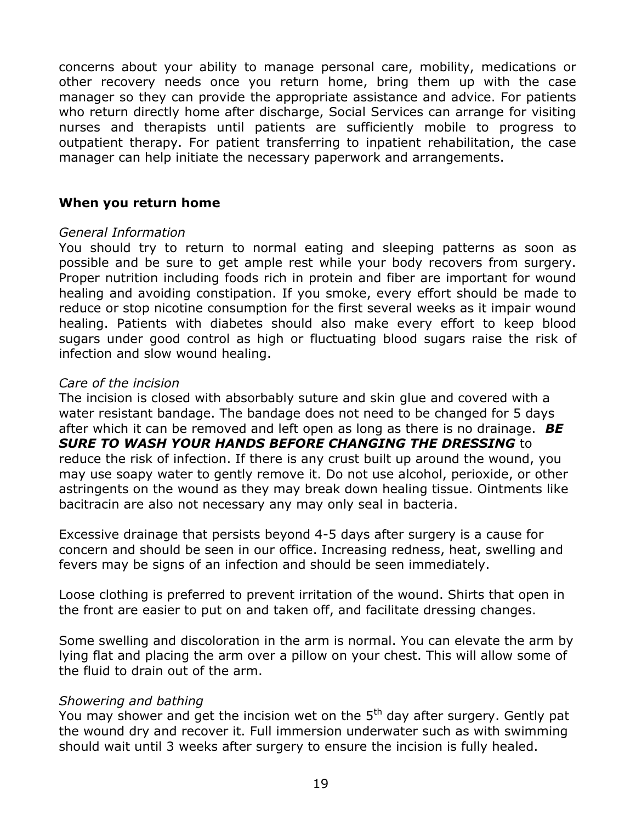concerns about your ability to manage personal care, mobility, medications or other recovery needs once you return home, bring them up with the case manager so they can provide the appropriate assistance and advice. For patients who return directly home after discharge, Social Services can arrange for visiting nurses and therapists until patients are sufficiently mobile to progress to outpatient therapy. For patient transferring to inpatient rehabilitation, the case manager can help initiate the necessary paperwork and arrangements.

#### **When you return home**

#### *General Information*

You should try to return to normal eating and sleeping patterns as soon as possible and be sure to get ample rest while your body recovers from surgery. Proper nutrition including foods rich in protein and fiber are important for wound healing and avoiding constipation. If you smoke, every effort should be made to reduce or stop nicotine consumption for the first several weeks as it impair wound healing. Patients with diabetes should also make every effort to keep blood sugars under good control as high or fluctuating blood sugars raise the risk of infection and slow wound healing.

#### *Care of the incision*

The incision is closed with absorbably suture and skin glue and covered with a water resistant bandage. The bandage does not need to be changed for 5 days after which it can be removed and left open as long as there is no drainage. *BE SURE TO WASH YOUR HANDS BEFORE CHANGING THE DRESSING* to reduce the risk of infection. If there is any crust built up around the wound, you may use soapy water to gently remove it. Do not use alcohol, perioxide, or other astringents on the wound as they may break down healing tissue. Ointments like bacitracin are also not necessary any may only seal in bacteria.

Excessive drainage that persists beyond 4-5 days after surgery is a cause for concern and should be seen in our office. Increasing redness, heat, swelling and fevers may be signs of an infection and should be seen immediately.

Loose clothing is preferred to prevent irritation of the wound. Shirts that open in the front are easier to put on and taken off, and facilitate dressing changes.

Some swelling and discoloration in the arm is normal. You can elevate the arm by lying flat and placing the arm over a pillow on your chest. This will allow some of the fluid to drain out of the arm.

## *Showering and bathing*

You may shower and get the incision wet on the  $5<sup>th</sup>$  day after surgery. Gently pat the wound dry and recover it. Full immersion underwater such as with swimming should wait until 3 weeks after surgery to ensure the incision is fully healed.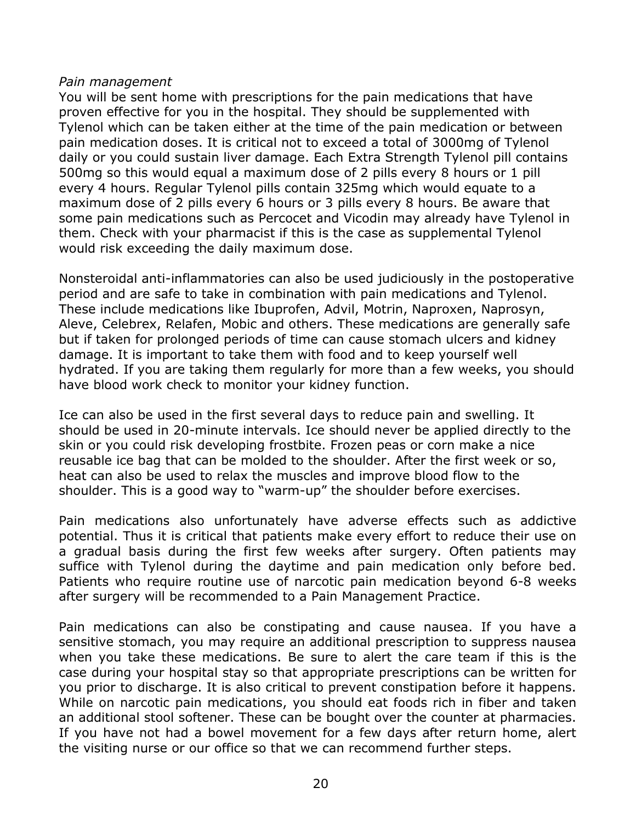#### *Pain management*

You will be sent home with prescriptions for the pain medications that have proven effective for you in the hospital. They should be supplemented with Tylenol which can be taken either at the time of the pain medication or between pain medication doses. It is critical not to exceed a total of 3000mg of Tylenol daily or you could sustain liver damage. Each Extra Strength Tylenol pill contains 500mg so this would equal a maximum dose of 2 pills every 8 hours or 1 pill every 4 hours. Regular Tylenol pills contain 325mg which would equate to a maximum dose of 2 pills every 6 hours or 3 pills every 8 hours. Be aware that some pain medications such as Percocet and Vicodin may already have Tylenol in them. Check with your pharmacist if this is the case as supplemental Tylenol would risk exceeding the daily maximum dose.

Nonsteroidal anti-inflammatories can also be used judiciously in the postoperative period and are safe to take in combination with pain medications and Tylenol. These include medications like Ibuprofen, Advil, Motrin, Naproxen, Naprosyn, Aleve, Celebrex, Relafen, Mobic and others. These medications are generally safe but if taken for prolonged periods of time can cause stomach ulcers and kidney damage. It is important to take them with food and to keep yourself well hydrated. If you are taking them regularly for more than a few weeks, you should have blood work check to monitor your kidney function.

Ice can also be used in the first several days to reduce pain and swelling. It should be used in 20-minute intervals. Ice should never be applied directly to the skin or you could risk developing frostbite. Frozen peas or corn make a nice reusable ice bag that can be molded to the shoulder. After the first week or so, heat can also be used to relax the muscles and improve blood flow to the shoulder. This is a good way to "warm-up" the shoulder before exercises.

Pain medications also unfortunately have adverse effects such as addictive potential. Thus it is critical that patients make every effort to reduce their use on a gradual basis during the first few weeks after surgery. Often patients may suffice with Tylenol during the daytime and pain medication only before bed. Patients who require routine use of narcotic pain medication beyond 6-8 weeks after surgery will be recommended to a Pain Management Practice.

Pain medications can also be constipating and cause nausea. If you have a sensitive stomach, you may require an additional prescription to suppress nausea when you take these medications. Be sure to alert the care team if this is the case during your hospital stay so that appropriate prescriptions can be written for you prior to discharge. It is also critical to prevent constipation before it happens. While on narcotic pain medications, you should eat foods rich in fiber and taken an additional stool softener. These can be bought over the counter at pharmacies. If you have not had a bowel movement for a few days after return home, alert the visiting nurse or our office so that we can recommend further steps.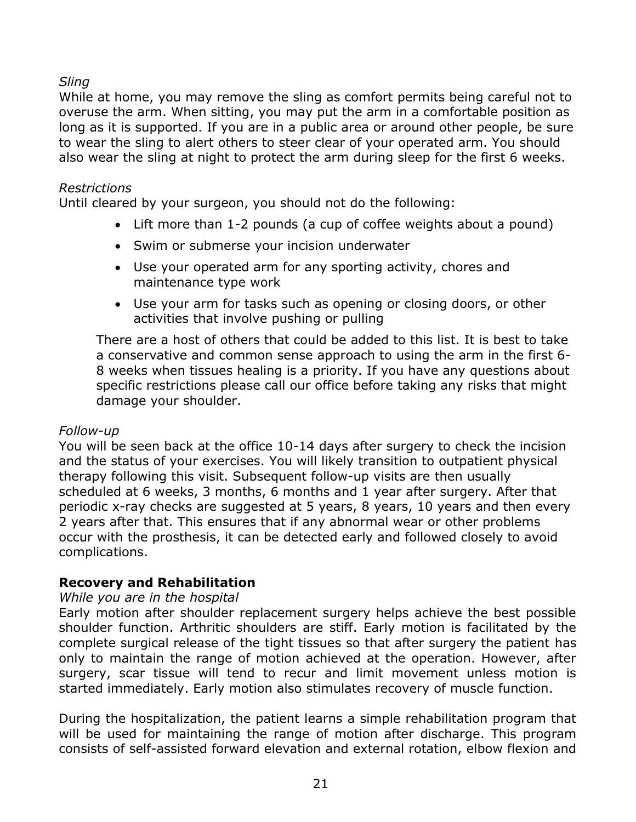## *Sling*

While at home, you may remove the sling as comfort permits being careful not to overuse the arm. When sitting, you may put the arm in a comfortable position as long as it is supported. If you are in a public area or around other people, be sure to wear the sling to alert others to steer clear of your operated arm. You should also wear the sling at night to protect the arm during sleep for the first 6 weeks.

## *Restrictions*

Until cleared by your surgeon, you should not do the following:

- Lift more than 1-2 pounds (a cup of coffee weights about a pound)
- Swim or submerse your incision underwater
- Use your operated arm for any sporting activity, chores and maintenance type work
- Use your arm for tasks such as opening or closing doors, or other activities that involve pushing or pulling

There are a host of others that could be added to this list. It is best to take a conservative and common sense approach to using the arm in the first 6- 8 weeks when tissues healing is a priority. If you have any questions about specific restrictions please call our office before taking any risks that might damage your shoulder.

## *Follow-up*

You will be seen back at the office 10-14 days after surgery to check the incision and the status of your exercises. You will likely transition to outpatient physical therapy following this visit. Subsequent follow-up visits are then usually scheduled at 6 weeks, 3 months, 6 months and 1 year after surgery. After that periodic x-ray checks are suggested at 5 years, 8 years, 10 years and then every 2 years after that. This ensures that if any abnormal wear or other problems occur with the prosthesis, it can be detected early and followed closely to avoid complications.

## **Recovery and Rehabilitation**

## *While you are in the hospital*

Early motion after shoulder replacement surgery helps achieve the best possible shoulder function. Arthritic shoulders are stiff. Early motion is facilitated by the complete surgical release of the tight tissues so that after surgery the patient has only to maintain the range of motion achieved at the operation. However, after surgery, scar tissue will tend to recur and limit movement unless motion is started immediately. Early motion also stimulates recovery of muscle function.

During the hospitalization, the patient learns a simple rehabilitation program that will be used for maintaining the range of motion after discharge. This program consists of self-assisted forward elevation and external rotation, elbow flexion and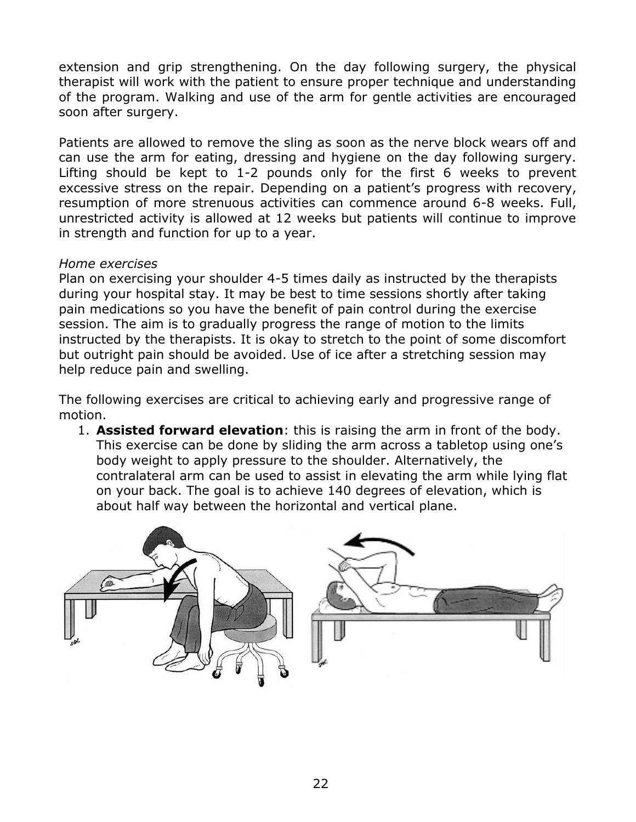extension and grip strengthening. On the day following surgery, the physical therapist will work with the patient to ensure proper technique and understanding of the program. Walking and use of the arm for gentle activities are encouraged soon after surgery.

Patients are allowed to remove the sling as soon as the nerve block wears off and can use the arm for eating, dressing and hygiene on the day following surgery. Lifting should be kept to 1-2 pounds only for the first 6 weeks to prevent excessive stress on the repair. Depending on a patient's progress with recovery, resumption of more strenuous activities can commence around 6-8 weeks. Full, unrestricted activity is allowed at 12 weeks but patients will continue to improve in strength and function for up to a year.

## *Home exercises*

Plan on exercising your shoulder 4-5 times daily as instructed by the therapists during your hospital stay. It may be best to time sessions shortly after taking pain medications so you have the benefit of pain control during the exercise session. The aim is to gradually progress the range of motion to the limits instructed by the therapists. It is okay to stretch to the point of some discomfort but outright pain should be avoided. Use of ice after a stretching session may help reduce pain and swelling.

The following exercises are critical to achieving early and progressive range of motion.

1. **Assisted forward elevation**: this is raising the arm in front of the body. This exercise can be done by sliding the arm across a tabletop using one's body weight to apply pressure to the shoulder. Alternatively, the contralateral arm can be used to assist in elevating the arm while lying flat on your back. The goal is to achieve 140 degrees of elevation, which is about half way between the horizontal and vertical plane.

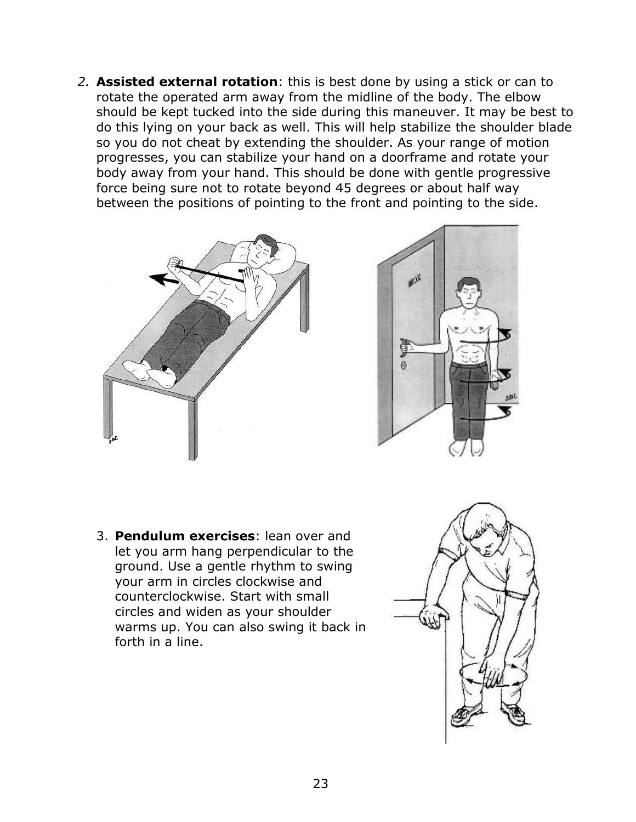*2.* **Assisted external rotation**: this is best done by using a stick or can to rotate the operated arm away from the midline of the body. The elbow should be kept tucked into the side during this maneuver. It may be best to do this lying on your back as well. This will help stabilize the shoulder blade so you do not cheat by extending the shoulder. As your range of motion progresses, you can stabilize your hand on a doorframe and rotate your body away from your hand. This should be done with gentle progressive force being sure not to rotate beyond 45 degrees or about half way between the positions of pointing to the front and pointing to the side.





3. **Pendulum exercises**: lean over and let you arm hang perpendicular to the ground. Use a gentle rhythm to swing your arm in circles clockwise and counterclockwise. Start with small circles and widen as your shoulder warms up. You can also swing it back in forth in a line.

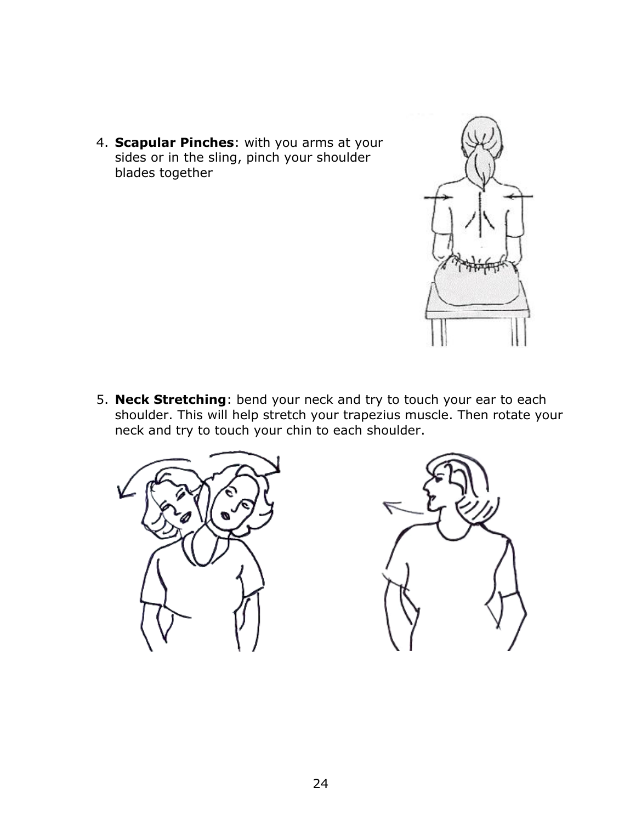4. **Scapular Pinches**: with you arms at your sides or in the sling, pinch your shoulder blades together



5. **Neck Stretching**: bend your neck and try to touch your ear to each shoulder. This will help stretch your trapezius muscle. Then rotate your neck and try to touch your chin to each shoulder.



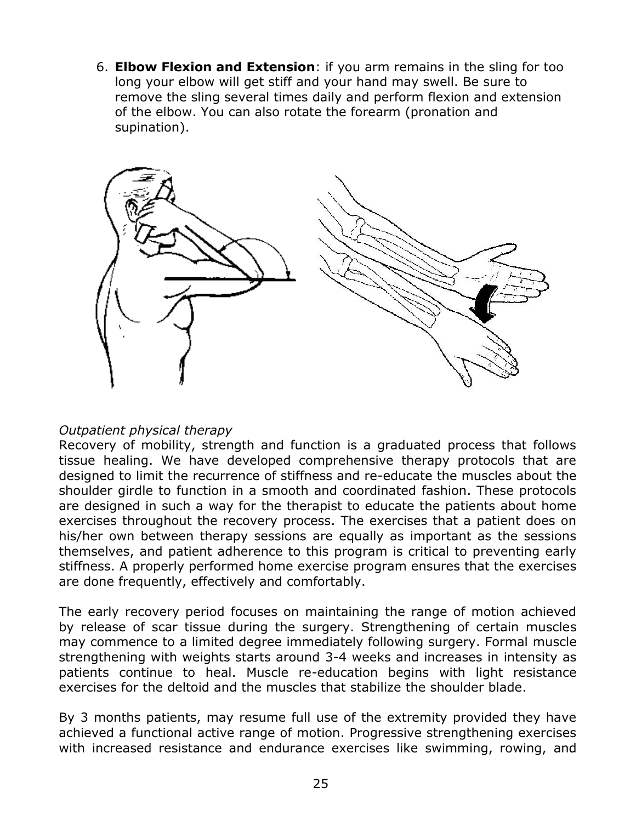6. **Elbow Flexion and Extension**: if you arm remains in the sling for too long your elbow will get stiff and your hand may swell. Be sure to remove the sling several times daily and perform flexion and extension of the elbow. You can also rotate the forearm (pronation and supination).



#### *Outpatient physical therapy*

Recovery of mobility, strength and function is a graduated process that follows tissue healing. We have developed comprehensive therapy protocols that are designed to limit the recurrence of stiffness and re-educate the muscles about the shoulder girdle to function in a smooth and coordinated fashion. These protocols are designed in such a way for the therapist to educate the patients about home exercises throughout the recovery process. The exercises that a patient does on his/her own between therapy sessions are equally as important as the sessions themselves, and patient adherence to this program is critical to preventing early stiffness. A properly performed home exercise program ensures that the exercises are done frequently, effectively and comfortably.

The early recovery period focuses on maintaining the range of motion achieved by release of scar tissue during the surgery. Strengthening of certain muscles may commence to a limited degree immediately following surgery. Formal muscle strengthening with weights starts around 3-4 weeks and increases in intensity as patients continue to heal. Muscle re-education begins with light resistance exercises for the deltoid and the muscles that stabilize the shoulder blade.

By 3 months patients, may resume full use of the extremity provided they have achieved a functional active range of motion. Progressive strengthening exercises with increased resistance and endurance exercises like swimming, rowing, and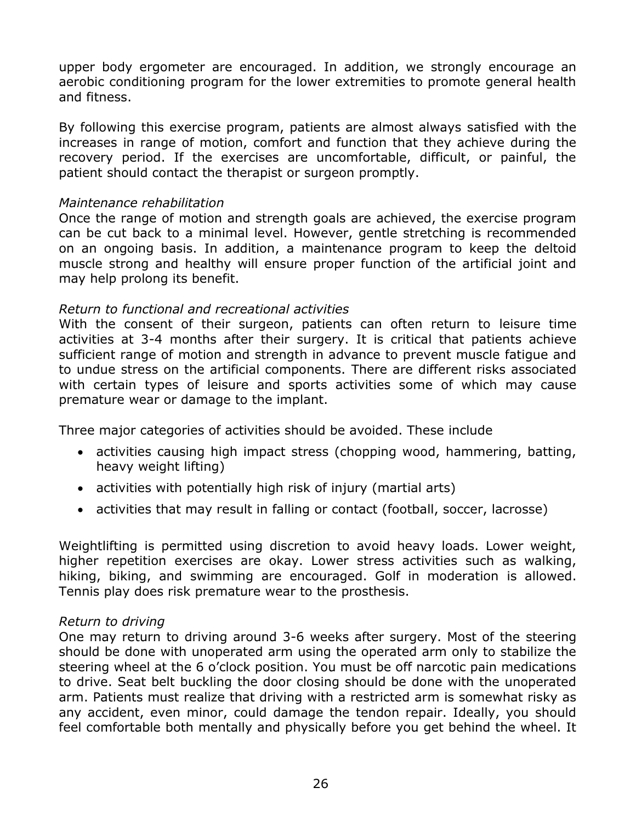upper body ergometer are encouraged. In addition, we strongly encourage an aerobic conditioning program for the lower extremities to promote general health and fitness.

By following this exercise program, patients are almost always satisfied with the increases in range of motion, comfort and function that they achieve during the recovery period. If the exercises are uncomfortable, difficult, or painful, the patient should contact the therapist or surgeon promptly.

#### *Maintenance rehabilitation*

Once the range of motion and strength goals are achieved, the exercise program can be cut back to a minimal level. However, gentle stretching is recommended on an ongoing basis. In addition, a maintenance program to keep the deltoid muscle strong and healthy will ensure proper function of the artificial joint and may help prolong its benefit.

## *Return to functional and recreational activities*

With the consent of their surgeon, patients can often return to leisure time activities at 3-4 months after their surgery. It is critical that patients achieve sufficient range of motion and strength in advance to prevent muscle fatigue and to undue stress on the artificial components. There are different risks associated with certain types of leisure and sports activities some of which may cause premature wear or damage to the implant.

Three major categories of activities should be avoided. These include

- activities causing high impact stress (chopping wood, hammering, batting, heavy weight lifting)
- activities with potentially high risk of injury (martial arts)
- activities that may result in falling or contact (football, soccer, lacrosse)

Weightlifting is permitted using discretion to avoid heavy loads. Lower weight, higher repetition exercises are okay. Lower stress activities such as walking, hiking, biking, and swimming are encouraged. Golf in moderation is allowed. Tennis play does risk premature wear to the prosthesis.

#### *Return to driving*

One may return to driving around 3-6 weeks after surgery. Most of the steering should be done with unoperated arm using the operated arm only to stabilize the steering wheel at the 6 o'clock position. You must be off narcotic pain medications to drive. Seat belt buckling the door closing should be done with the unoperated arm. Patients must realize that driving with a restricted arm is somewhat risky as any accident, even minor, could damage the tendon repair. Ideally, you should feel comfortable both mentally and physically before you get behind the wheel. It